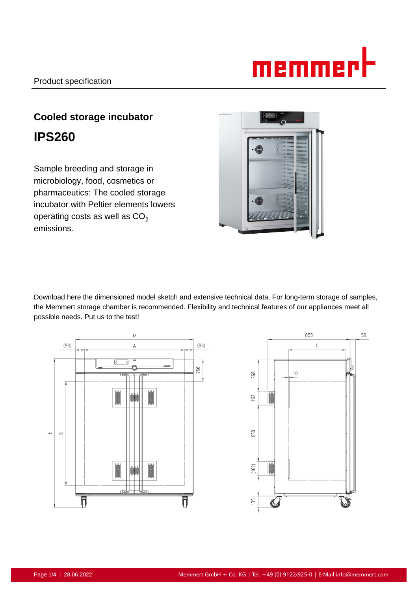# memmert

# **Cooled storage incubator IPS260**

Sample breeding and storage in microbiology, food, cosmetics or pharmaceutics: The cooled storage incubator with Peltier elements lowers operating costs as well as  $CO<sub>2</sub>$ emissions.



Download here the dimensioned model sketch and extensive technical data. For long-term storage of samples, the Memmert storage chamber is recommended. Flexibility and technical features of our appliances meet all possible needs. Put us to the test!



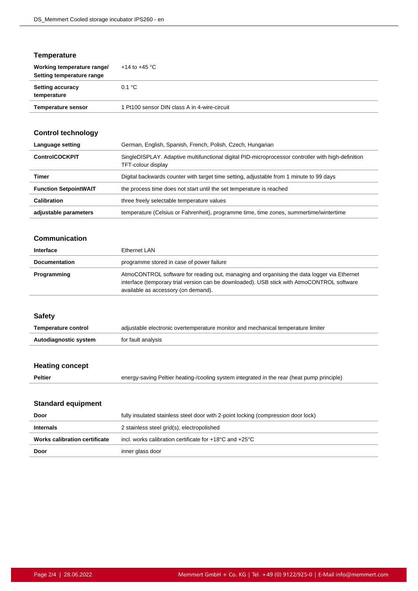# **Temperature**

| Working temperature range/<br>Setting temperature range | $+14$ to $+45$ °C                            |
|---------------------------------------------------------|----------------------------------------------|
| <b>Setting accuracy</b><br>temperature                  | 0.1 °C                                       |
| <b>Temperature sensor</b>                               | 1 Pt100 sensor DIN class A in 4-wire-circuit |

# **Control technology**

| Language setting             | German, English, Spanish, French, Polish, Czech, Hungarian                                                               |
|------------------------------|--------------------------------------------------------------------------------------------------------------------------|
| <b>ControlCOCKPIT</b>        | SingleDISPLAY. Adaptive multifunctional digital PID-microprocessor controller with high-definition<br>TFT-colour display |
| Timer                        | Digital backwards counter with target time setting, adjustable from 1 minute to 99 days                                  |
| <b>Function SetpointWAIT</b> | the process time does not start until the set temperature is reached                                                     |
| Calibration                  | three freely selectable temperature values                                                                               |
| adjustable parameters        | temperature (Celsius or Fahrenheit), programme time, time zones, summertime/wintertime                                   |

#### **Communication**

| Interface            | Ethernet LAN                                                                                                                                                                                                                    |
|----------------------|---------------------------------------------------------------------------------------------------------------------------------------------------------------------------------------------------------------------------------|
| <b>Documentation</b> | programme stored in case of power failure                                                                                                                                                                                       |
| Programming          | AtmoCONTROL software for reading out, managing and organising the data logger via Ethernet<br>interface (temporary trial version can be downloaded). USB stick with AtmoCONTROL software<br>available as accessory (on demand). |

#### **Safety**

| <b>Temperature control</b> | adjustable electronic overtemperature monitor and mechanical temperature limiter |
|----------------------------|----------------------------------------------------------------------------------|
| Autodiagnostic system      | for fault analysis                                                               |

# **Heating concept**

**Peltier** energy-saving Peltier heating-/cooling system integrated in the rear (heat pump principle)

# **Standard equipment**

| fully insulated stainless steel door with 2-point locking (compression door lock) |
|-----------------------------------------------------------------------------------|
| 2 stainless steel grid(s), electropolished                                        |
| incl. works calibration certificate for $+18^{\circ}$ C and $+25^{\circ}$ C       |
| inner glass door                                                                  |
|                                                                                   |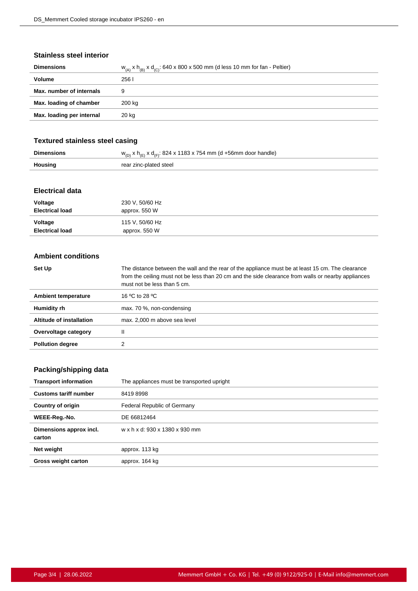#### **Stainless steel interior**

| <b>Dimensions</b>         | $W_{(A)}$ x h <sub>(B)</sub> x d <sub>(C)</sub> : 640 x 800 x 500 mm (d less 10 mm for fan - Peltier) |
|---------------------------|-------------------------------------------------------------------------------------------------------|
| Volume                    | 256 l                                                                                                 |
| Max. number of internals  | 9                                                                                                     |
| Max. loading of chamber   | 200 kg                                                                                                |
| Max. loading per internal | 20 kg                                                                                                 |
|                           |                                                                                                       |

# **Textured stainless steel casing**

|         | $w_{(D)}$ x h <sub>(E)</sub> x d <sub>(F)</sub> : 824 x 1183 x 754 mm (d +56mm door handle) |
|---------|---------------------------------------------------------------------------------------------|
| Housing | rear zinc-plated steel                                                                      |

## **Electrical data**

| Voltage                | 230 V, 50/60 Hz |
|------------------------|-----------------|
| <b>Electrical load</b> | approx. 550 W   |
| Voltage                | 115 V, 50/60 Hz |
| <b>Electrical load</b> | approx. 550 W   |

#### **Ambient conditions**

| Set Up                   | The distance between the wall and the rear of the appliance must be at least 15 cm. The clearance<br>from the ceiling must not be less than 20 cm and the side clearance from walls or nearby appliances<br>must not be less than 5 cm. |
|--------------------------|-----------------------------------------------------------------------------------------------------------------------------------------------------------------------------------------------------------------------------------------|
| Ambient temperature      | 16 °C to 28 °C                                                                                                                                                                                                                          |
| Humidity rh              | max. 70 %, non-condensing                                                                                                                                                                                                               |
| Altitude of installation | max. 2,000 m above sea level                                                                                                                                                                                                            |
| Overvoltage category     | Ш                                                                                                                                                                                                                                       |
| <b>Pollution degree</b>  |                                                                                                                                                                                                                                         |

# **Packing/shipping data**

| <b>Transport information</b>      | The appliances must be transported upright |
|-----------------------------------|--------------------------------------------|
| <b>Customs tariff number</b>      | 84198998                                   |
| <b>Country of origin</b>          | Federal Republic of Germany                |
| WEEE-Reg.-No.                     | DE 66812464                                |
| Dimensions approx incl.<br>carton | w x h x d: 930 x 1380 x 930 mm             |
| Net weight                        | approx. 113 kg                             |
| Gross weight carton               | approx. 164 kg                             |